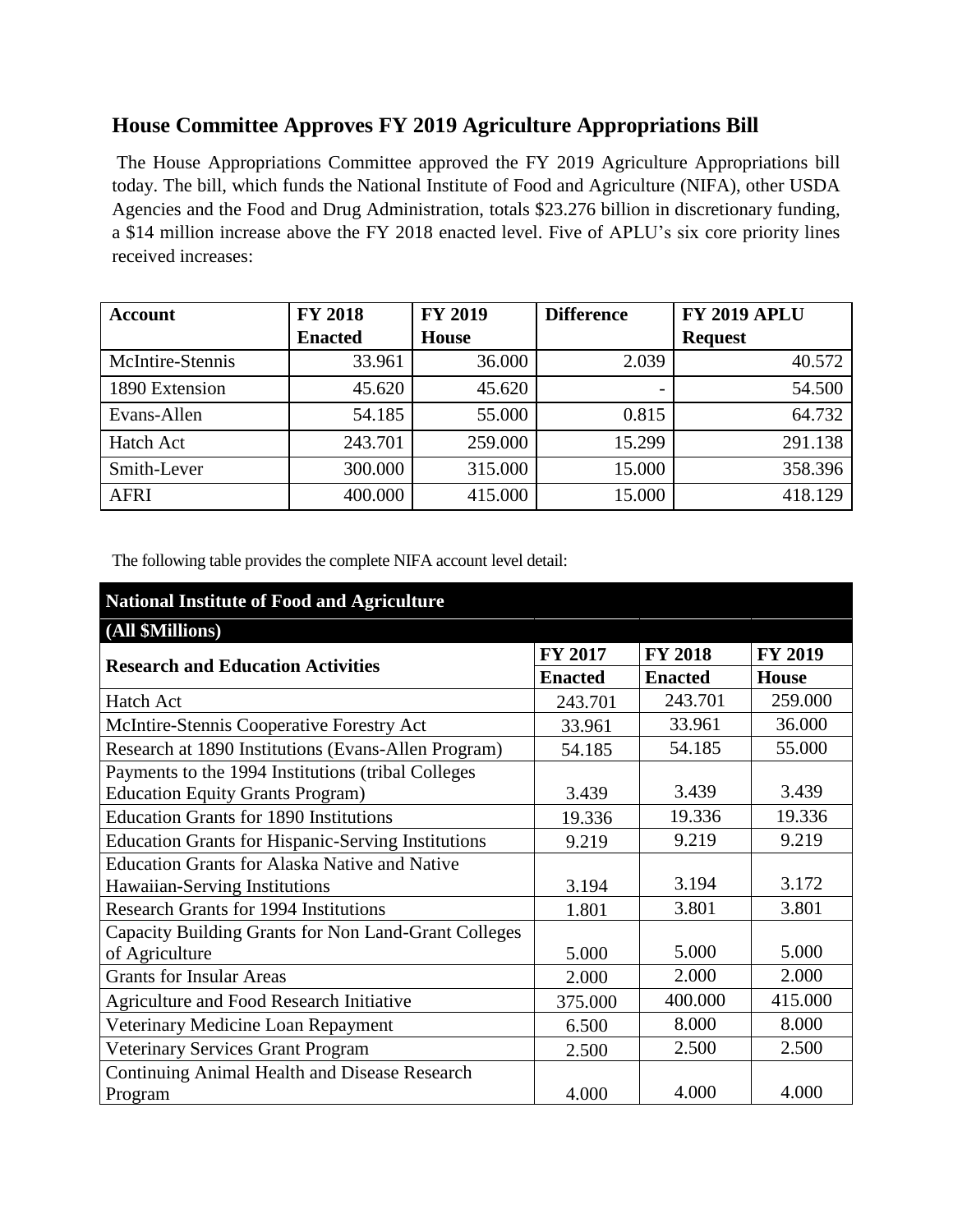# **House Committee Approves FY 2019 Agriculture Appropriations Bill**

The House Appropriations Committee approved the FY 2019 Agriculture Appropriations bill today. The bill, which funds the National Institute of Food and Agriculture (NIFA), other USDA Agencies and the Food and Drug Administration, totals \$23.276 billion in discretionary funding, a \$14 million increase above the FY 2018 enacted level. Five of APLU's six core priority lines received increases:

| Account          | <b>FY 2018</b> | <b>FY 2019</b> | <b>Difference</b> | <b>FY 2019 APLU</b> |  |
|------------------|----------------|----------------|-------------------|---------------------|--|
|                  | <b>Enacted</b> | <b>House</b>   |                   | <b>Request</b>      |  |
| McIntire-Stennis | 33.961         | 36.000         | 2.039             | 40.572              |  |
| 1890 Extension   | 45.620         | 45.620         |                   | 54.500              |  |
| Evans-Allen      | 54.185         | 55.000         | 0.815             | 64.732              |  |
| <b>Hatch Act</b> | 243.701        | 259.000        | 15.299            | 291.138             |  |
| Smith-Lever      | 300.000        | 315.000        | 15.000            | 358.396             |  |
| <b>AFRI</b>      | 400.000        | 415.000        | 15.000            | 418.129             |  |

The following table provides the complete NIFA account level detail:

# **National Institute of Food and Agriculture**

#### **(All \$Millions)**

| <b>Research and Education Activities</b>                                                      | FY 2017        | <b>FY 2018</b> | <b>FY 2019</b> |
|-----------------------------------------------------------------------------------------------|----------------|----------------|----------------|
|                                                                                               | <b>Enacted</b> | <b>Enacted</b> | <b>House</b>   |
| Hatch Act                                                                                     | 243.701        | 243.701        | 259.000        |
| McIntire-Stennis Cooperative Forestry Act                                                     | 33.961         | 33.961         | 36.000         |
| Research at 1890 Institutions (Evans-Allen Program)                                           | 54.185         | 54.185         | 55.000         |
| Payments to the 1994 Institutions (tribal Colleges<br><b>Education Equity Grants Program)</b> | 3.439          | 3.439          | 3.439          |
| <b>Education Grants for 1890 Institutions</b>                                                 | 19.336         | 19.336         | 19.336         |
| <b>Education Grants for Hispanic-Serving Institutions</b>                                     | 9.219          | 9.219          | 9.219          |
| <b>Education Grants for Alaska Native and Native</b>                                          |                |                |                |
| Hawaiian-Serving Institutions                                                                 | 3.194          | 3.194          | 3.172          |
| <b>Research Grants for 1994 Institutions</b>                                                  | 1.801          | 3.801          | 3.801          |
| Capacity Building Grants for Non Land-Grant Colleges                                          |                |                |                |
| of Agriculture                                                                                | 5.000          | 5.000          | 5.000          |
| <b>Grants for Insular Areas</b>                                                               | 2.000          | 2.000          | 2.000          |
| Agriculture and Food Research Initiative                                                      | 375.000        | 400.000        | 415.000        |
| Veterinary Medicine Loan Repayment                                                            | 6.500          | 8.000          | 8.000          |
| <b>Veterinary Services Grant Program</b>                                                      | 2.500          | 2.500          | 2.500          |
| <b>Continuing Animal Health and Disease Research</b>                                          |                |                |                |
| Program                                                                                       | 4.000          | 4.000          | 4.000          |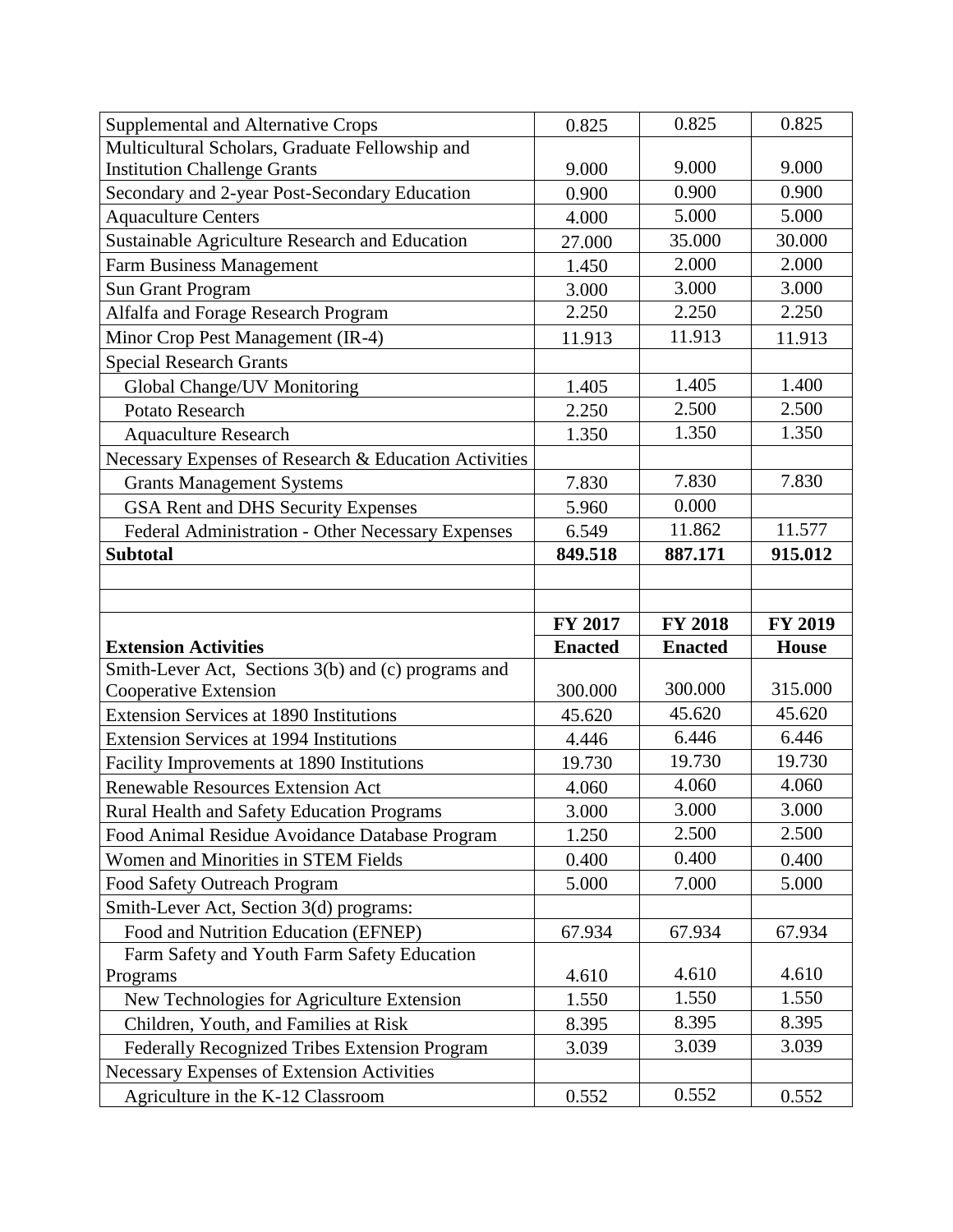| Supplemental and Alternative Crops                    | 0.825          | 0.825          | 0.825          |
|-------------------------------------------------------|----------------|----------------|----------------|
| Multicultural Scholars, Graduate Fellowship and       |                |                |                |
| <b>Institution Challenge Grants</b>                   | 9.000          | 9.000          | 9.000          |
| Secondary and 2-year Post-Secondary Education         | 0.900          | 0.900          | 0.900          |
| <b>Aquaculture Centers</b>                            | 4.000          | 5.000          | 5.000          |
| Sustainable Agriculture Research and Education        | 27.000         | 35.000         | 30.000         |
| Farm Business Management                              | 1.450          | 2.000          | 2.000          |
| <b>Sun Grant Program</b>                              | 3.000          | 3.000          | 3.000          |
| Alfalfa and Forage Research Program                   | 2.250          | 2.250          | 2.250          |
| Minor Crop Pest Management (IR-4)                     | 11.913         | 11.913         | 11.913         |
| <b>Special Research Grants</b>                        |                |                |                |
| Global Change/UV Monitoring                           | 1.405          | 1.405          | 1.400          |
| Potato Research                                       | 2.250          | 2.500          | 2.500          |
| <b>Aquaculture Research</b>                           | 1.350          | 1.350          | 1.350          |
| Necessary Expenses of Research & Education Activities |                |                |                |
| <b>Grants Management Systems</b>                      | 7.830          | 7.830          | 7.830          |
| GSA Rent and DHS Security Expenses                    | 5.960          | 0.000          |                |
| Federal Administration - Other Necessary Expenses     | 6.549          | 11.862         | 11.577         |
| <b>Subtotal</b>                                       | 849.518        | 887.171        | 915.012        |
|                                                       |                |                |                |
|                                                       |                |                |                |
|                                                       |                |                |                |
|                                                       | FY 2017        | <b>FY 2018</b> | <b>FY 2019</b> |
| <b>Extension Activities</b>                           | <b>Enacted</b> | <b>Enacted</b> | <b>House</b>   |
| Smith-Lever Act, Sections 3(b) and (c) programs and   |                |                |                |
| Cooperative Extension                                 | 300.000        | 300.000        | 315.000        |
| <b>Extension Services at 1890 Institutions</b>        | 45.620         | 45.620         | 45.620         |
| <b>Extension Services at 1994 Institutions</b>        | 4.446          | 6.446          | 6.446          |
| Facility Improvements at 1890 Institutions            | 19.730         | 19.730         | 19.730         |
| Renewable Resources Extension Act                     | 4.060          | 4.060          | 4.060          |
| Rural Health and Safety Education Programs            | 3.000          | 3.000          | 3.000          |
| Food Animal Residue Avoidance Database Program        | 1.250          | 2.500          | 2.500          |
| Women and Minorities in STEM Fields                   | 0.400          | 0.400          | 0.400          |
| Food Safety Outreach Program                          | 5.000          | 7.000          | 5.000          |
| Smith-Lever Act, Section 3(d) programs:               |                |                |                |
| Food and Nutrition Education (EFNEP)                  | 67.934         | 67.934         | 67.934         |
| Farm Safety and Youth Farm Safety Education           |                |                |                |
| Programs                                              | 4.610          | 4.610          | 4.610          |
| New Technologies for Agriculture Extension            | 1.550          | 1.550          | 1.550          |
| Children, Youth, and Families at Risk                 | 8.395          | 8.395          | 8.395          |
| Federally Recognized Tribes Extension Program         | 3.039          | 3.039          | 3.039          |
| Necessary Expenses of Extension Activities            |                |                |                |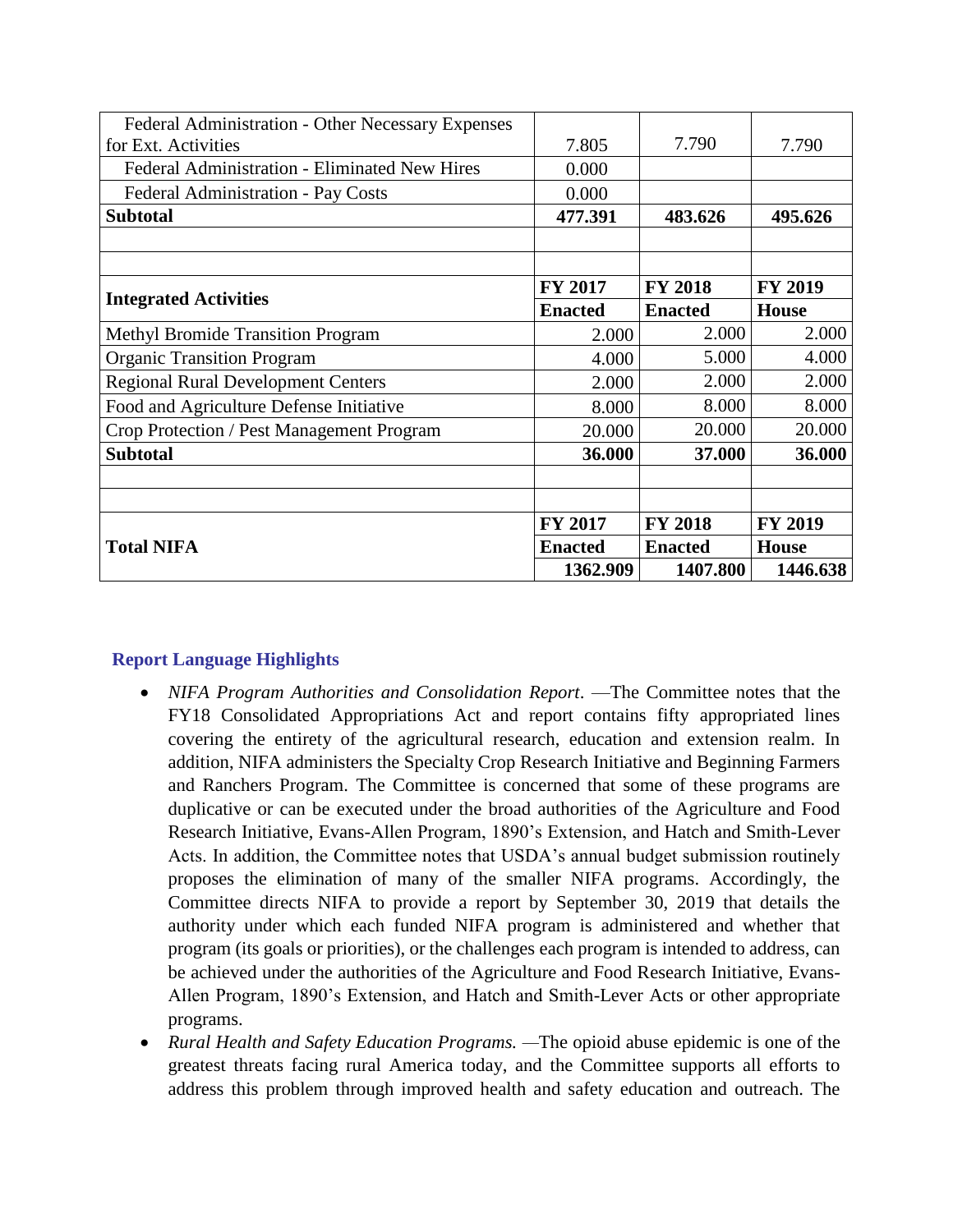|                                                   | 1362.909       | 1407.800       | 1446.638       |
|---------------------------------------------------|----------------|----------------|----------------|
| <b>Total NIFA</b>                                 | <b>Enacted</b> | <b>Enacted</b> | <b>House</b>   |
|                                                   | FY 2017        | <b>FY 2018</b> | <b>FY 2019</b> |
|                                                   |                |                |                |
|                                                   |                |                |                |
| <b>Subtotal</b>                                   | 36.000         | 37.000         | 36.000         |
| Crop Protection / Pest Management Program         | 20.000         | 20.000         | 20.000         |
| Food and Agriculture Defense Initiative           | 8.000          | 8.000          | 8.000          |
| <b>Regional Rural Development Centers</b>         | 2.000          | 2.000          | 2.000          |
| <b>Organic Transition Program</b>                 | 4.000          | 5.000          | 4.000          |
| <b>Methyl Bromide Transition Program</b>          | 2.000          | 2.000          | 2.000          |
| <b>Integrated Activities</b>                      | <b>Enacted</b> | <b>Enacted</b> | <b>House</b>   |
|                                                   | <b>FY 2017</b> | <b>FY 2018</b> | <b>FY 2019</b> |
|                                                   |                |                |                |
| <b>Subtotal</b>                                   | 477.391        | 483.626        | 495.626        |
| <b>Federal Administration - Pay Costs</b>         | 0.000          |                |                |
| Federal Administration - Eliminated New Hires     | 0.000          |                |                |
| for Ext. Activities                               | 7.805          | 7.790          | 7.790          |
| Federal Administration - Other Necessary Expenses |                |                |                |

### **Report Language Highlights**

- *NIFA Program Authorities and Consolidation Report*. —The Committee notes that the FY18 Consolidated Appropriations Act and report contains fifty appropriated lines covering the entirety of the agricultural research, education and extension realm. In addition, NIFA administers the Specialty Crop Research Initiative and Beginning Farmers and Ranchers Program. The Committee is concerned that some of these programs are duplicative or can be executed under the broad authorities of the Agriculture and Food Research Initiative, Evans-Allen Program, 1890's Extension, and Hatch and Smith-Lever Acts. In addition, the Committee notes that USDA's annual budget submission routinely proposes the elimination of many of the smaller NIFA programs. Accordingly, the Committee directs NIFA to provide a report by September 30, 2019 that details the authority under which each funded NIFA program is administered and whether that program (its goals or priorities), or the challenges each program is intended to address, can be achieved under the authorities of the Agriculture and Food Research Initiative, Evans-Allen Program, 1890's Extension, and Hatch and Smith-Lever Acts or other appropriate programs.
- *Rural Health and Safety Education Programs. —*The opioid abuse epidemic is one of the greatest threats facing rural America today, and the Committee supports all efforts to address this problem through improved health and safety education and outreach. The